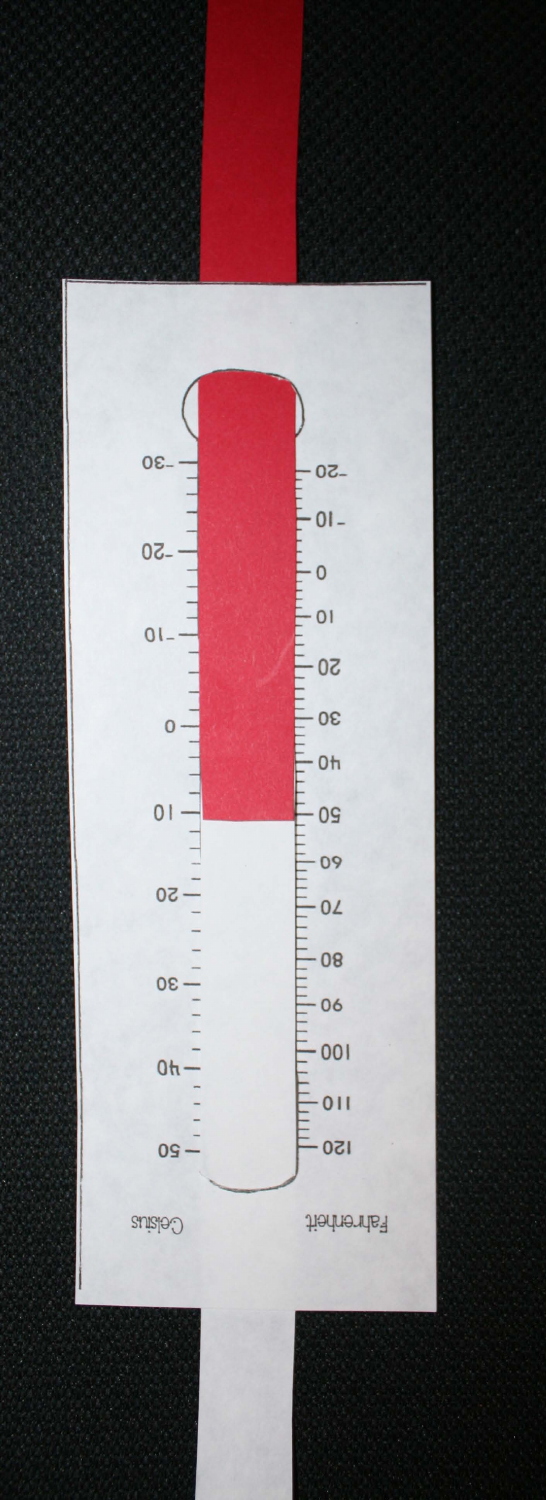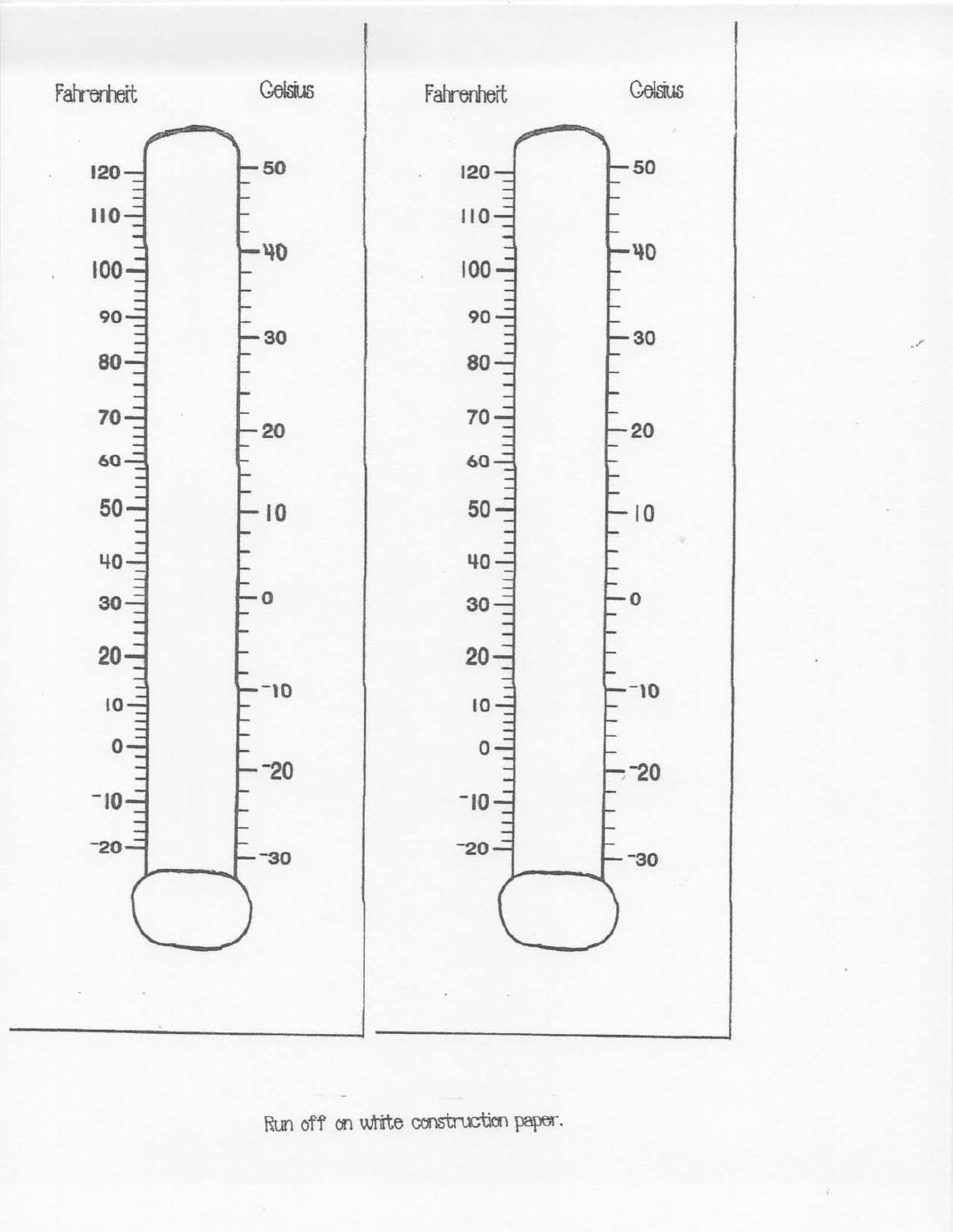![](_page_1_Figure_0.jpeg)

Run off on white construction paper.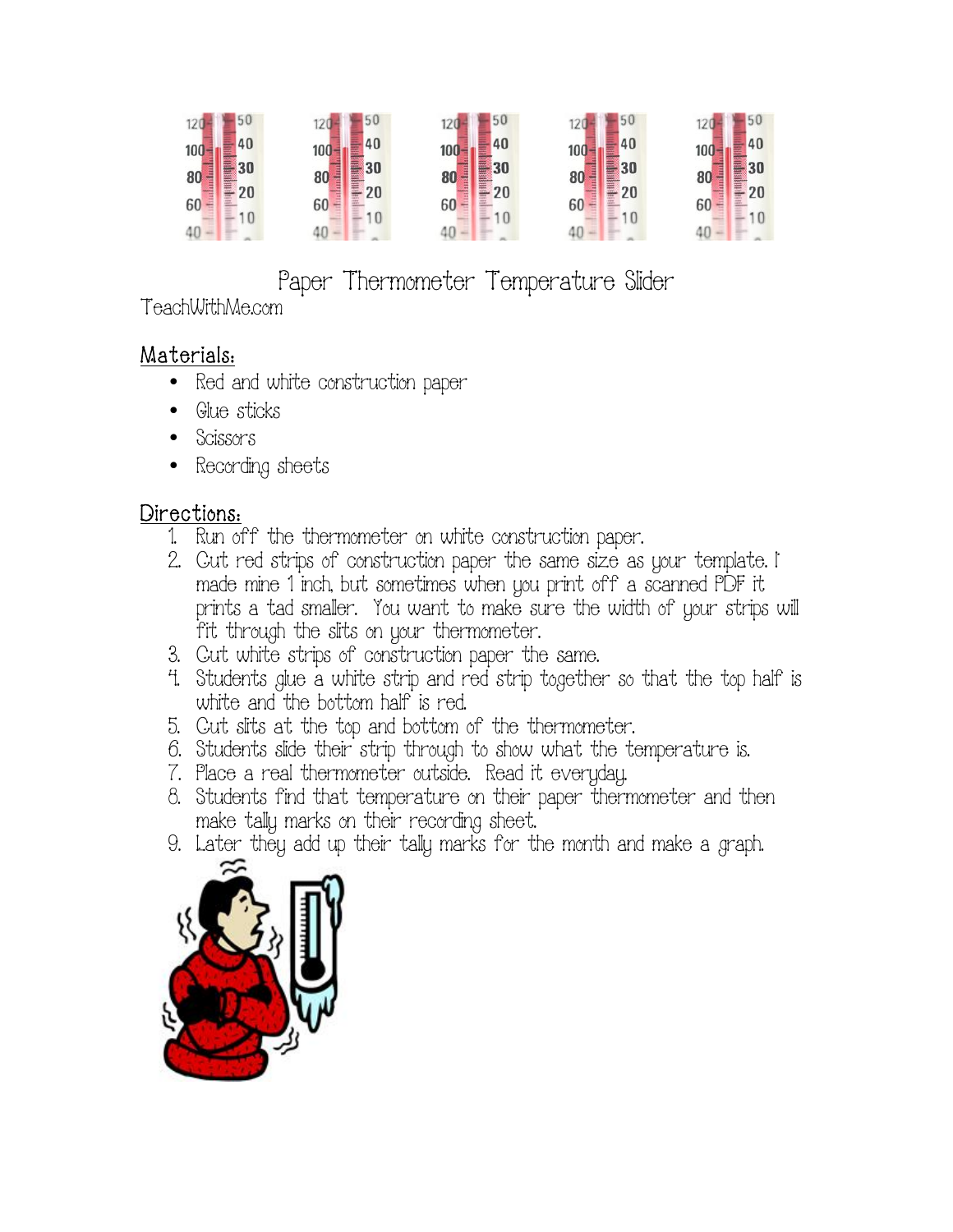|                                        |                    | 50                 | 50                                            | 50                                |
|----------------------------------------|--------------------|--------------------|-----------------------------------------------|-----------------------------------|
| 40<br>$100 -$                          | 40<br>100          | 40<br>100          | 40<br>100                                     | 40<br>100                         |
| Ē<br>80                                | 30<br>80           | 30<br>80           | <b>Expertise</b><br>Е<br>30<br>niam ann<br>80 | 30<br>80                          |
| <b>administration</b><br>20<br>60<br>÷ | H<br>e<br>20<br>60 | Ê<br>20<br>H<br>60 | <b>HINE</b><br>20<br>60                       | dualensin<br>$\frac{20}{3}$<br>60 |
| 10                                     | 10                 | 10                 |                                               | 10                                |

Paper Thermometer Temperature Slider

TeachWithMe.com

## Materials:

- Red and white construction paper
- Glue sticks
- Scissors
- Recording sheets

## Directions:

- 1. Run off the thermometer on white construction paper.
- 2. Cut red strips of construction paper the same size as your template. I made mine 1 inch, but sometimes when you print off a scanned PDF it prints a tad smaller. You want to make sure the width of your strips will fit through the slits on your thermometer.
- 3. Cut white strips of construction paper the same.
- 4. Students glue a white strip and red strip together so that the top half is white and the bottom half is red.
- 5. Cut slits at the top and bottom of the thermometer.
- 6. Students slide their strip through to show what the temperature is.
- 7. Place a real thermometer outside. Read it everyday.
- 8. Students find that temperature on their paper thermometer and then make tally marks on their recording sheet.
- 9. Later they add up their tally marks for the month and make a graph.

![](_page_2_Picture_18.jpeg)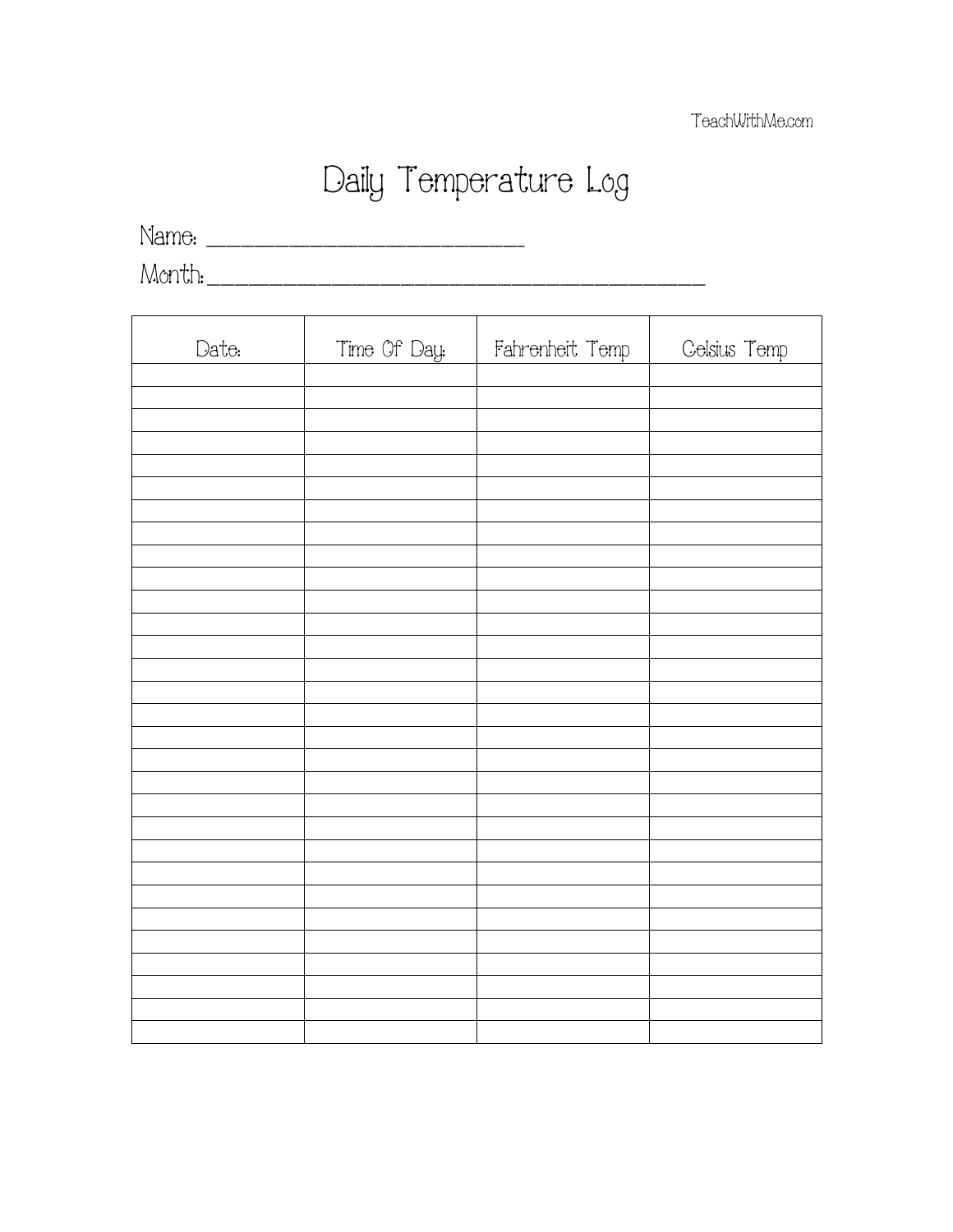## Daily Temperature Log

<u> 1980 - Johann Stoff, deutscher Stoffen und der Stoffen und der Stoffen und der Stoffen und der Stoffen und der</u>

Name: \_\_\_\_\_\_\_\_\_\_\_\_\_\_\_\_\_\_\_\_\_\_\_\_\_\_\_\_\_\_\_\_\_\_\_\_\_\_\_\_\_\_\_\_\_\_

Month: \_\_\_\_\_\_\_\_\_\_\_\_\_\_\_\_\_\_\_\_\_\_\_\_\_\_\_\_\_\_\_\_\_\_\_\_\_\_\_\_\_\_\_\_\_\_\_\_\_\_\_\_\_\_\_\_\_\_\_\_\_\_\_\_\_\_\_\_\_\_\_\_

| Date: | Time Of Day: | Fahrenheit Temp | Celsius Temp |
|-------|--------------|-----------------|--------------|
|       |              |                 |              |
|       |              |                 |              |
|       |              |                 |              |
|       |              |                 |              |
|       |              |                 |              |
|       |              |                 |              |
|       |              |                 |              |
|       |              |                 |              |
|       |              |                 |              |
|       |              |                 |              |
|       |              |                 |              |
|       |              |                 |              |
|       |              |                 |              |
|       |              |                 |              |
|       |              |                 |              |
|       |              |                 |              |
|       |              |                 |              |
|       |              |                 |              |
|       |              |                 |              |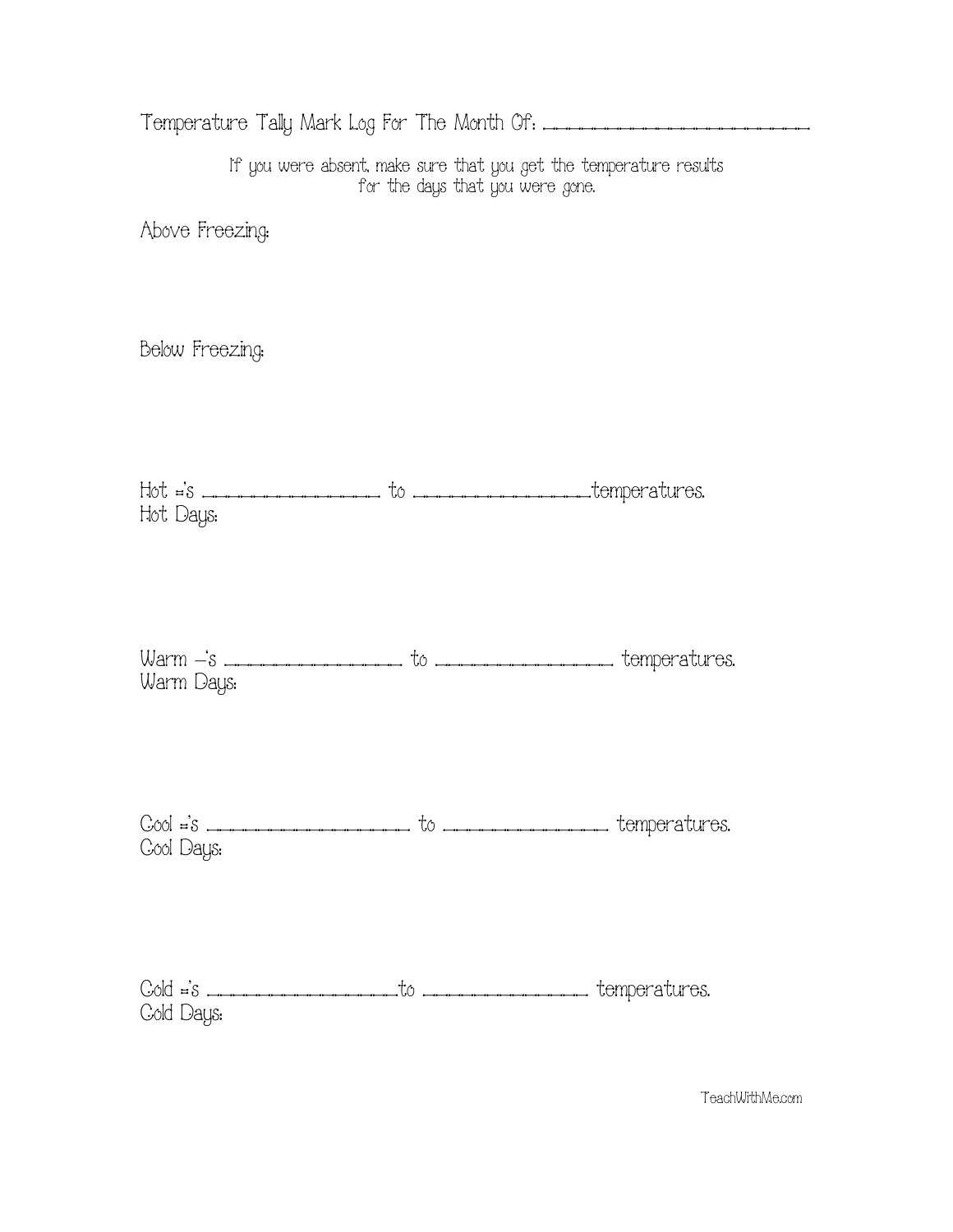|                 | If you were absent, make sure that you get the temperature results<br>for the days that you were gone. |  |
|-----------------|--------------------------------------------------------------------------------------------------------|--|
| Above Freezing: |                                                                                                        |  |
| Below Freezing: |                                                                                                        |  |
| Hot Days:       | $Hot = s$                                                                                              |  |
| Warm Days:      |                                                                                                        |  |
| Cool Days:      | $Cool = S$                                                                                             |  |
| Cold Days:      |                                                                                                        |  |

TeachWithMe.com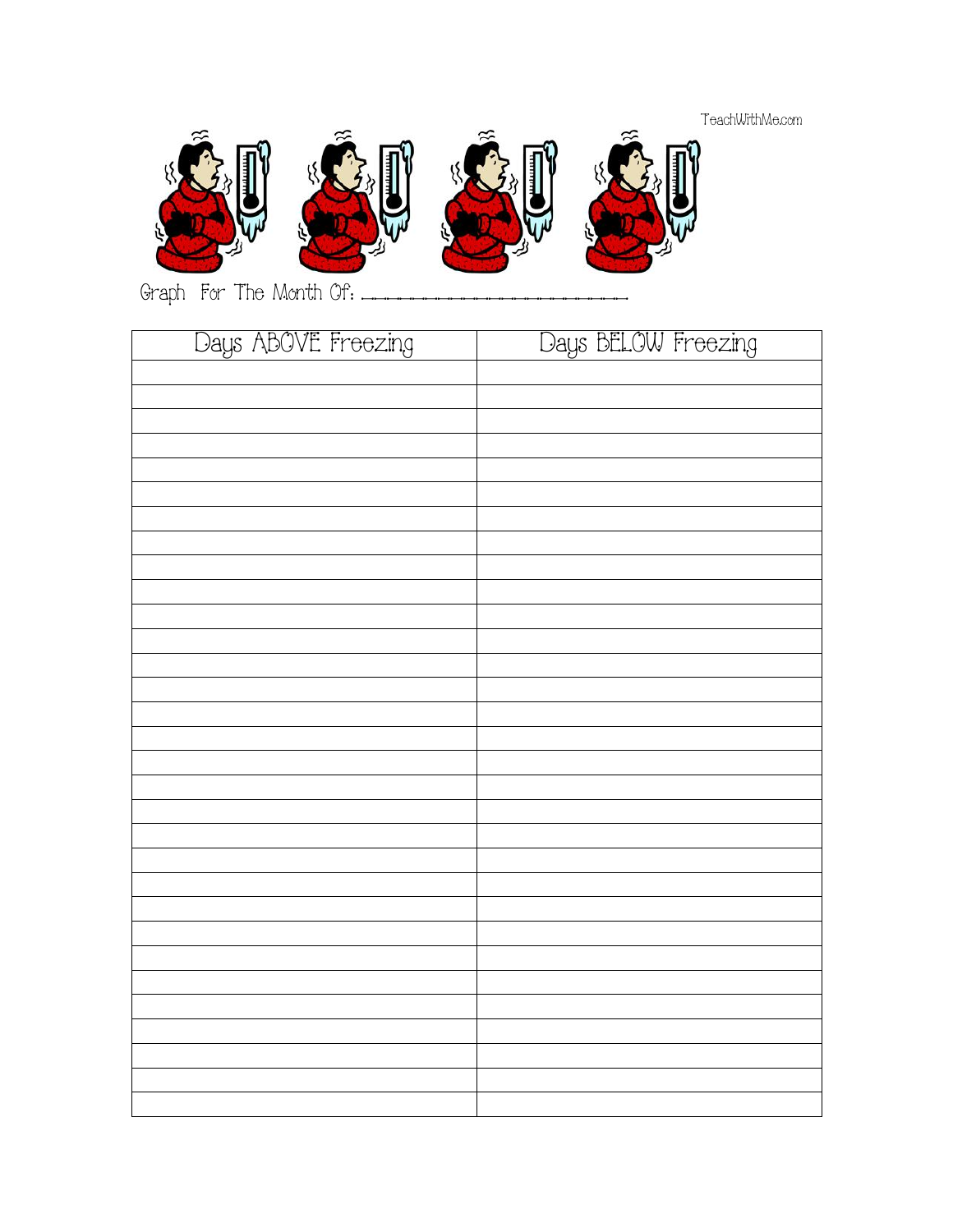## TeachWithMe.com

![](_page_5_Picture_1.jpeg)

Graph For The Month Of: \_\_\_\_\_\_\_\_\_\_\_\_\_\_\_\_\_\_\_\_\_

| Days ABOVE Freezing | Days BELOW Freezing |
|---------------------|---------------------|
|                     |                     |
|                     |                     |
|                     |                     |
|                     |                     |
|                     |                     |
|                     |                     |
|                     |                     |
|                     |                     |
|                     |                     |
|                     |                     |
|                     |                     |
|                     |                     |
|                     |                     |
|                     |                     |
|                     |                     |
|                     |                     |
|                     |                     |
|                     |                     |
|                     |                     |
|                     |                     |
|                     |                     |
|                     |                     |
|                     |                     |
|                     |                     |
|                     |                     |
|                     |                     |
|                     |                     |
|                     |                     |
|                     |                     |